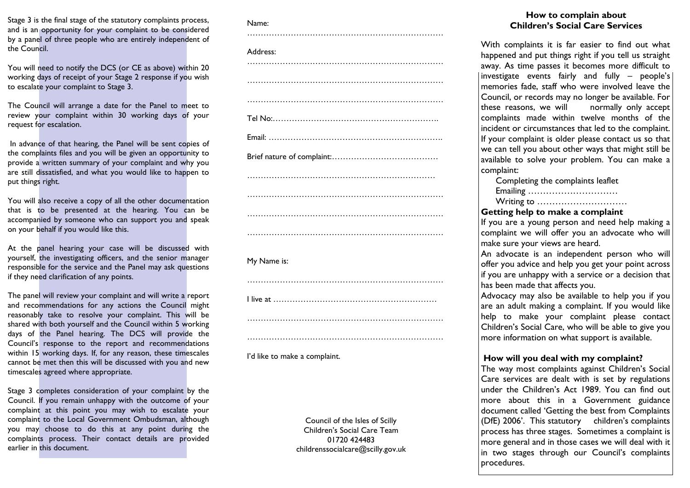Stage 3 is the final stage of the statutory complaints process, and is an opportunity for your complaint to be considered by a panel of three people who are entirely independent of the Council.

You will need to notify the DCS (or CE as above) within 20 working days of receipt of your Stage 2 response if you wish to escalate your complaint to Stage 3.

The Council will arrange a date for the Panel to meet to review your complaint within 30 working days of your request for escalation.

In advance of that hearing, the Panel will be sent copies of the complaints files and you will be given an opportunity to provide a written summary of your complaint and why you are still dissatisfied, and what you would like to happen to put things right.

You will also receive a copy of all the other documentation that is to be presented at the hearing. You can be accompanied by someone who can support you and speak on your behalf if you would like this.

At the panel hearing your case will be discussed with yourself, the investigating officers, and the senior manager responsible for the service and the Panel may ask questions if they need clarification of any points.

The panel will review your complaint and will write a report and recommendations for any actions the Council might reasonably take to resolve your complaint. This will be shared with both yourself and the Council within 5 working days of the Panel hearing. The DCS will provide the Council's response to the report and recommendations within 15 working days. If, for any reason, these timescales cannot be met then this will be discussed with you and new timescales agreed where appropriate.

Stage 3 completes consideration of your complaint by the Council. If you remain unhappy with the outcome of your complaint at this point you may wish to escalate your complaint to the Local Government Ombudsman, although you may choose to do this at any point during the complaints process. Their contact details are provided earlier in this document.

#### Name:

| Address:    |
|-------------|
|             |
|             |
|             |
|             |
|             |
|             |
|             |
|             |
|             |
|             |
|             |
| My Name is: |
|             |
|             |
|             |
|             |

I'd like to make a complaint.

Council of the Isles of Scilly Children's Social Care Team 01720 424483 childrenssocialcare@scilly.gov.uk

………………………………………………………………

### **How to complain about Children's Social Care Services**

With complaints it is far easier to find out what happened and put things right if you tell us straight away. As time passes it becomes more difficult to investigate events fairly and fully – people's memories fade, staff who were involved leave the Council, or records may no longer be available. For these reasons, we will normally only accept complaints made within twelve months of the incident or circumstances that led to the complaint. If your complaint is older please contact us so that we can tell you about other ways that might still be available to solve your problem. You can make a complaint:

| Completing the complaints leaflet |
|-----------------------------------|
| Emailing                          |
| Writing to                        |

#### **Getting help to make a complaint**

If you are a young person and need help making a complaint we will offer you an advocate who will make sure your views are heard.

An advocate is an independent person who will offer you advice and help you get your point across if you are unhappy with a service or a decision that has been made that affects you.

Advocacy may also be available to help you if you are an adult making a complaint. If you would like help to make your complaint please contact Children's Social Care, who will be able to give you more information on what support is available.

### **How will you deal with my complaint?**

The way most complaints against Children's Social Care services are dealt with is set by regulations under the Children's Act 1989. You can find out more about this in a Government guidance document called 'Getting the best from Complaints (DfE) 2006'. This statutory children's complaints process has three stages. Sometimes a complaint is more general and in those cases we will deal with it in two stages through our Council's complaints procedures.